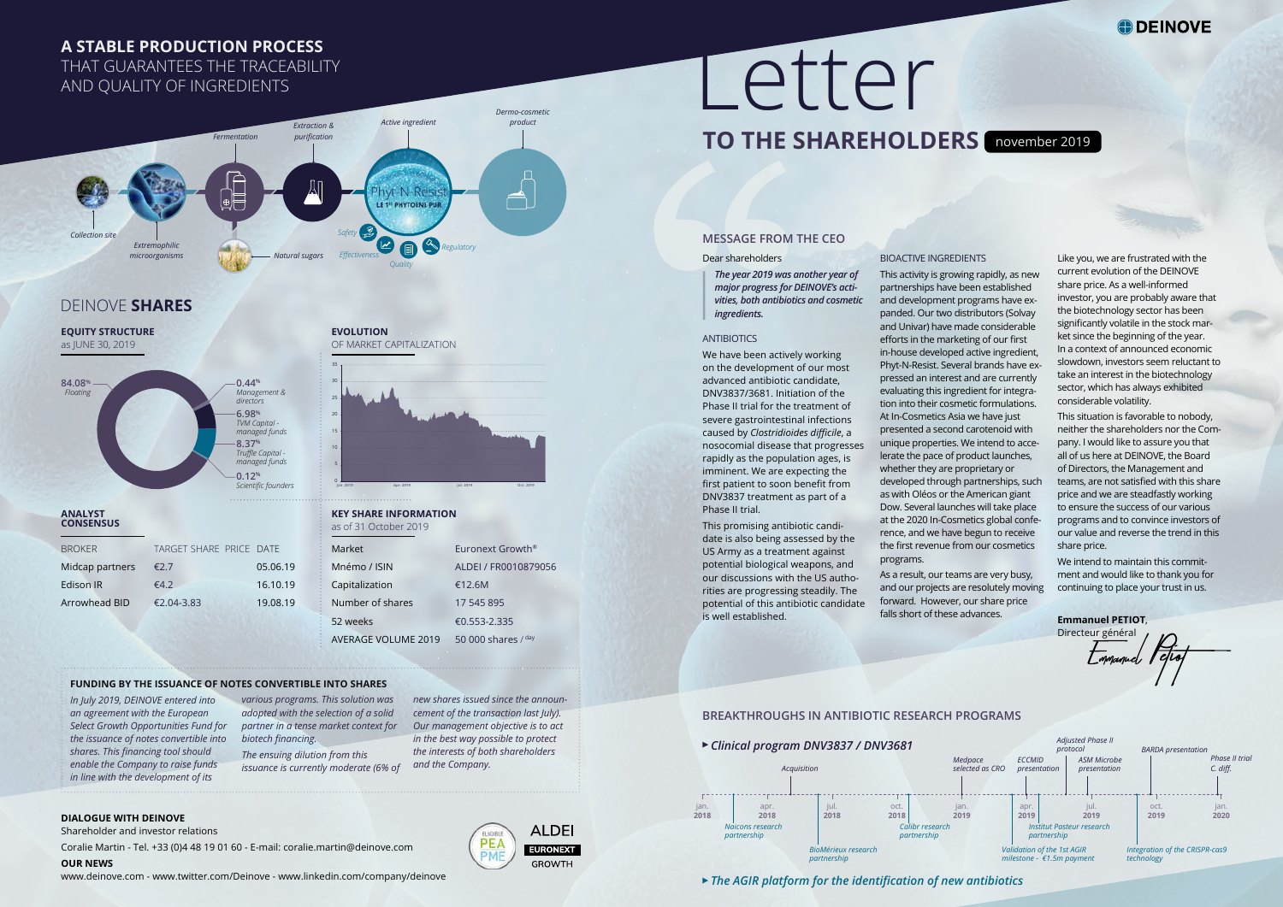#### Dear shareholders

*The year 2019 was another year of major progress for DEINOVE's activities, both antibiotics and cosmetic ingredients.* 

#### ANTIBIOTICS

**MESSAGE FROM THE CEO**<br>
Dear shareholders<br> *The year 2019 was another yea major progress for DEINOVE's a<br>
<i>vites, both antibiotics and cosn ingredients.*<br>
ANTIBIOTICS<br>
We have been actively working<br>
on the development of o We have been actively working on the development of our most advanced antibiotic candidate, DNV3837/3681. Initiation of the Phase II trial for the treatment of severe gastrointestinal infections caused by *Clostridioides difficile*, a nosocomial disease that progresses rapidly as the population ages, is imminent. We are expecting the first patient to soon benefit from DNV3837 treatment as part of a Phase II trial.

> This promising antibiotic candidate is also being assessed by the US Army as a treatment against potential biological weapons, and our discussions with the US authorities are progressing steadily. The potential of this antibiotic candidate is well established.

#### BIOACTIVE INGREDIENTS

This activity is growing rapidly, as new partnerships have been established and development programs have expanded. Our two distributors (Solvay and Univar) have made considerable efforts in the marketing of our first in-house developed active ingredient, Phyt-N-Resist. Several brands have expressed an interest and are currently evaluating this ingredient for integration into their cosmetic formulations. At In-Cosmetics Asia we have just presented a second carotenoid with unique properties. We intend to accelerate the pace of product launches, whether they are proprietary or developed through partnerships, such as with Oléos or the American giant Dow. Several launches will take place at the 2020 In-Cosmetics global conference, and we have begun to receive the first revenue from our cosmetics programs.

Directeur général  $\overline{\mathcal{L}}$ mmanuel <sup>P</sup> D.<br>Etiop

As a result, our teams are very busy, and our projects are resolutely moving forward. However, our share price falls short of these advances.

# Letter  **TO THE SHAREHOLDERS** november 2019

Like you, we are frustrated with the current evolution of the DEINOVE share price. As a well-informed investor, you are probably aware that the biotechnology sector has been significantly volatile in the stock market since the beginning of the year. In a context of announced economic slowdown, investors seem reluctant to take an interest in the biotechnology sector, which has always exhibited considerable volatility.

This situation is favorable to nobody, neither the shareholders nor the Company. I would like to assure you that all of us here at DEINOVE, the Board of Directors, the Management and teams, are not satisfied with this share price and we are steadfastly working to ensure the success of our various programs and to convince investors of our value and reverse the trend in this share price.

We intend to maintain this commitment and would like to thank you for continuing to place your trust in us.

**Emmanuel PETIOT**,

| Market              | Furonext Growth <sup>®</sup> |
|---------------------|------------------------------|
| Mnémo / ISIN        | ALDEI / FR0010879056         |
| Capitalization      | €12.6M                       |
| Number of shares    | 17 545 895                   |
| 52 weeks            | €0.553-2.335                 |
| AVERAGE VOLUME 2019 | 50 000 shares $/$ day        |

| <b>BROKER</b>   | TARGET SHARE PRICE DATE |          |
|-----------------|-------------------------|----------|
| Midcap partners | €2.7                    | 05.06.19 |
| Edison IR       | £4.2                    | 16.10.19 |
| Arrowhead BID   | €2.04-3.83              | 19.08.19 |



**EQUITY STRUCTURE**  as JUNE 30, 2019

### **ANALYST CONSENSUS**

## **EVOLUTION**  OF MARKET CAPITALIZATION

#### **KEY SHARE INFORMATION**  as of 31 October 2019



### **DIALOGUE WITH DEINOVE**

Shareholder and investor relations

Coralie Martin - Tel. +33 (0)4 48 19 01 60 - E-mail: coralie.martin@deinove.com

**OUR NEWS** 

www.deinove.com - www.twitter.com/Deinove - www.linkedin.com/company/deinove



## **A STABLE PRODUCTION PROCESS**

THAT GUARANTEES THE TRACEABILITY AND QUALITY OF INGREDIENTS

### **FUNDING BY THE ISSUANCE OF NOTES CONVERTIBLE INTO SHARES**

*In July 2019, DEINOVE entered into an agreement with the European Select Growth Opportunities Fund for the issuance of notes convertible into shares. This financing tool should enable the Company to raise funds in line with the development of its* 



*various programs. This solution was adopted with the selection of a solid partner in a tense market context for biotech financing.*

*The ensuing dilution from this issuance is currently moderate (6% of*  *new shares issued since the announcement of the transaction last July). Our management objective is to act in the best way possible to protect the interests of both shareholders and the Company.* 

## **ALDEI EURONEXT**

**GROWTH** 

## DEINOVE **SHARES**



*The AGIR platform for the identification of new antibiotics* 

## **BREAKTHROUGHS IN ANTIBIOTIC RESEARCH PROGRAMS**